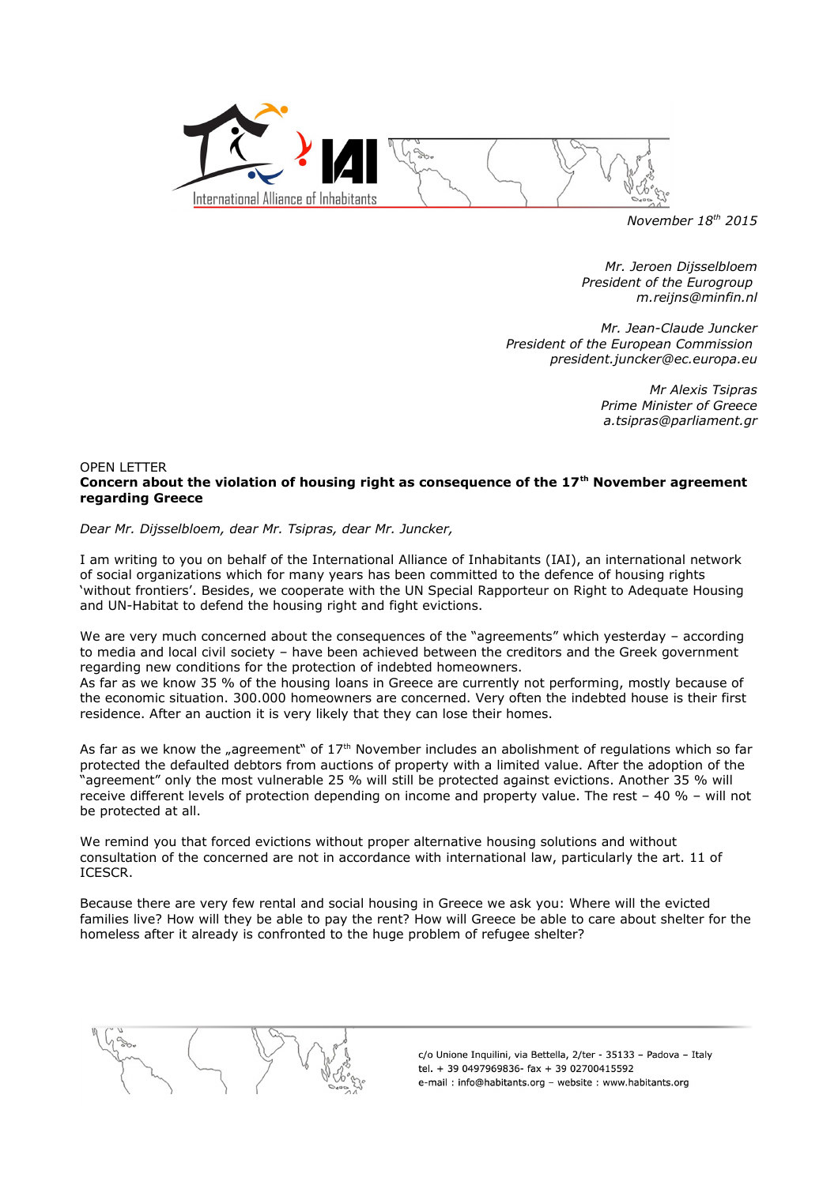

*November 18th 2015*

*Mr. Jeroen Dijsselbloem President of the Eurogroup m.reijns@minfin.nl*

*Mr. Jean-Claude Juncker President of the European Commission president.juncker@ec.europa.eu*

> *Mr Alexis Tsipras Prime Minister of Greece a.tsipras@parliament.gr*

## OPEN LETTER **Concern about the violation of housing right as consequence of the 17th November agreement regarding Greece**

*Dear Mr. Dijsselbloem, dear Mr. Tsipras, dear Mr. Juncker,*

I am writing to you on behalf of the International Alliance of Inhabitants (IAI), an international network of social organizations which for many years has been committed to the defence of housing rights 'without frontiers'. Besides, we cooperate with the UN Special Rapporteur on Right to Adequate Housing and UN-Habitat to defend the housing right and fight evictions.

We are very much concerned about the consequences of the "agreements" which yesterday - according to media and local civil society – have been achieved between the creditors and the Greek government regarding new conditions for the protection of indebted homeowners.

As far as we know 35 % of the housing loans in Greece are currently not performing, mostly because of the economic situation. 300.000 homeowners are concerned. Very often the indebted house is their first residence. After an auction it is very likely that they can lose their homes.

As far as we know the "agreement" of  $17<sup>th</sup>$  November includes an abolishment of regulations which so far protected the defaulted debtors from auctions of property with a limited value. After the adoption of the "agreement" only the most vulnerable 25 % will still be protected against evictions. Another 35 % will receive different levels of protection depending on income and property value. The rest – 40 % – will not be protected at all.

We remind you that forced evictions without proper alternative housing solutions and without consultation of the concerned are not in accordance with international law, particularly the art. 11 of ICESCR.

Because there are very few rental and social housing in Greece we ask you: Where will the evicted families live? How will they be able to pay the rent? How will Greece be able to care about shelter for the homeless after it already is confronted to the huge problem of refugee shelter?



c/o Unione Inquilini, via Bettella, 2/ter - 35133 - Padova - Italy tel. + 39 0497969836- fax + 39 02700415592 e-mail: info@habitants.org - website: www.habitants.org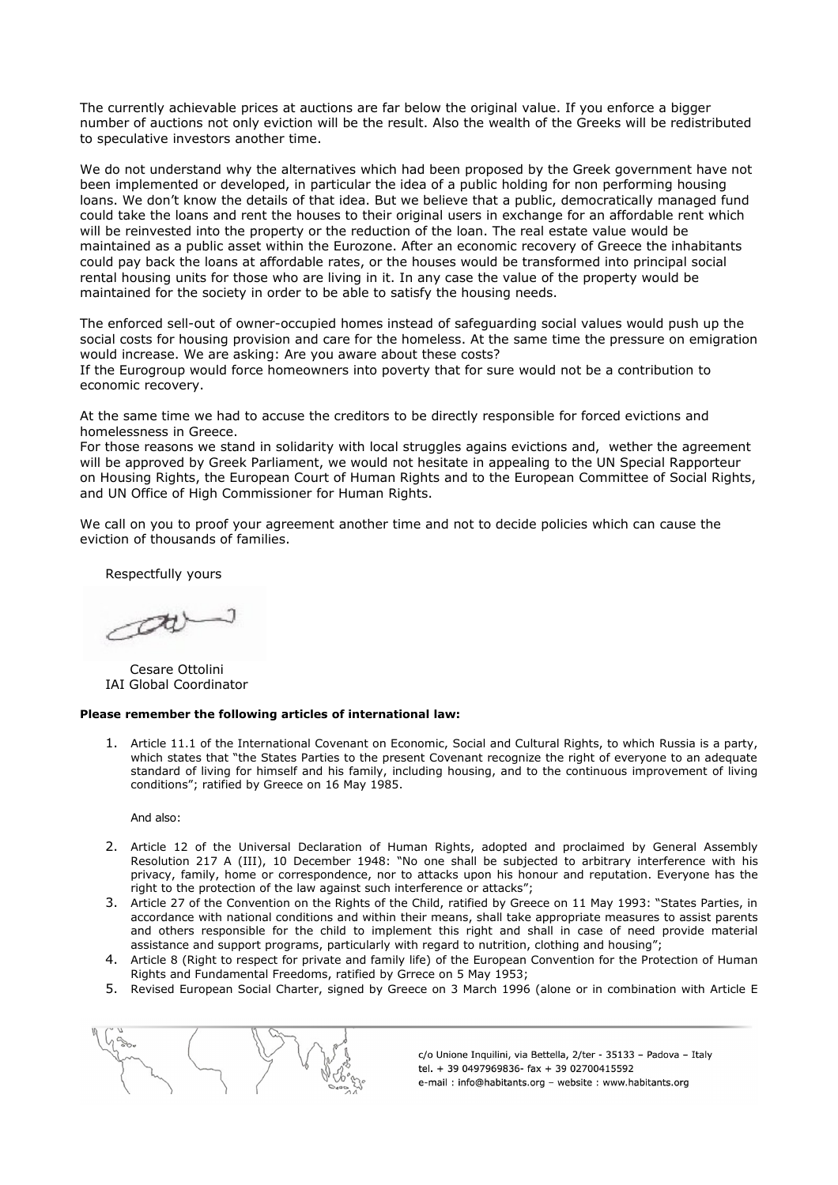The currently achievable prices at auctions are far below the original value. If you enforce a bigger number of auctions not only eviction will be the result. Also the wealth of the Greeks will be redistributed to speculative investors another time.

We do not understand why the alternatives which had been proposed by the Greek government have not been implemented or developed, in particular the idea of a public holding for non performing housing loans. We don't know the details of that idea. But we believe that a public, democratically managed fund could take the loans and rent the houses to their original users in exchange for an affordable rent which will be reinvested into the property or the reduction of the loan. The real estate value would be maintained as a public asset within the Eurozone. After an economic recovery of Greece the inhabitants could pay back the loans at affordable rates, or the houses would be transformed into principal social rental housing units for those who are living in it. In any case the value of the property would be maintained for the society in order to be able to satisfy the housing needs.

The enforced sell-out of owner-occupied homes instead of safeguarding social values would push up the social costs for housing provision and care for the homeless. At the same time the pressure on emigration would increase. We are asking: Are you aware about these costs? If the Eurogroup would force homeowners into poverty that for sure would not be a contribution to

economic recovery.

At the same time we had to accuse the creditors to be directly responsible for forced evictions and homelessness in Greece.

For those reasons we stand in solidarity with local struggles agains evictions and, wether the agreement will be approved by Greek Parliament, we would not hesitate in appealing to the UN Special Rapporteur on Housing Rights, the European Court of Human Rights and to the European Committee of Social Rights, and UN Office of High Commissioner for Human Rights.

We call on you to proof your agreement another time and not to decide policies which can cause the eviction of thousands of families.

Respectfully yours

 $\alpha$ 

Cesare Ottolini IAI Global Coordinator

## **Please remember the following articles of international law:**

1. Article 11.1 of the International Covenant on Economic, Social and Cultural Rights, to which Russia is a party, which states that "the States Parties to the present Covenant recognize the right of everyone to an adequate standard of living for himself and his family, including housing, and to the continuous improvement of living conditions"; ratified by Greece on 16 May 1985.

And also:

- 2. Article 12 of the Universal Declaration of Human Rights, adopted and proclaimed by General Assembly Resolution 217 A (III), 10 December 1948: "No one shall be subjected to arbitrary interference with his privacy, family, home or correspondence, nor to attacks upon his honour and reputation. Everyone has the right to the protection of the law against such interference or attacks";
- 3. Article 27 of the Convention on the Rights of the Child, ratified by Greece on 11 May 1993: "States Parties, in accordance with national conditions and within their means, shall take appropriate measures to assist parents and others responsible for the child to implement this right and shall in case of need provide material assistance and support programs, particularly with regard to nutrition, clothing and housing";
- 4. Article 8 (Right to respect for private and family life) of the European Convention for the Protection of Human Rights and Fundamental Freedoms, ratified by Grrece on 5 May 1953;
- 5. Revised European Social Charter, signed by Greece on 3 March 1996 (alone or in combination with Article E



c/o Unione Inquilini, via Bettella, 2/ter - 35133 - Padova - Italy tel. + 39 0497969836- fax + 39 02700415592 e-mail: info@habitants.org - website: www.habitants.org